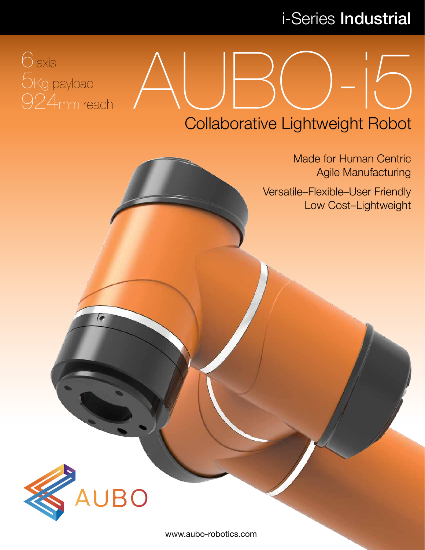# i-Series Industrial

# 6axis 5Kg payload 924mm reach

# $AUBO-15$ Collaborative Lightweight Robot

Made for Human Centric Agile Manufacturing

Versatile–Flexible–User Friendly Low Cost–Lightweight



e

www.aubo-robotics.com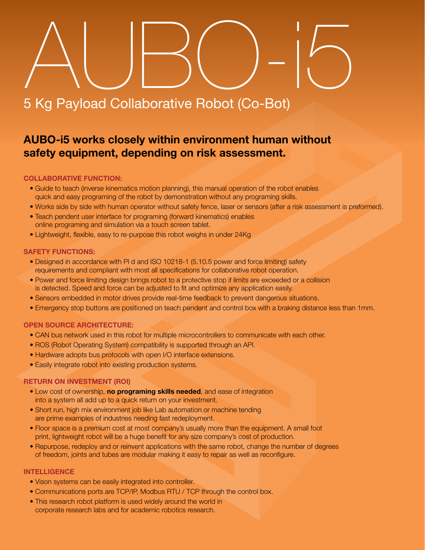# 5 Kg Payload Collaborative Robot (Co-Bot)  $\triangle$ UBO- $5$

### **AUBO-i5 works closely within environment human without safety equipment, depending on risk assessment.**

### **COLLABORATIVE FUNCTION:**

- Guide to teach (inverse kinematics motion planning), this manual operation of the robot enables quick and easy programing of the robot by demonstration without any programing skills.
- Works side by side with human operator without safety fence, laser or sensors (after a risk assessment is preformed).
- Teach pendent user interface for programing (forward kinematics) enables online programing and simulation via a touch screen tablet.
- Lightweight, flexible, easy to re-purpose this robot weighs in under 24Kg

### **SAFETY FUNCTIONS:**

- Designed in accordance with Pl d and ISO 10218-1 (5.10.5 power and force limiting) safety requirements and compliant with most all specifications for collaborative robot operation.
- Power and force limiting design brings robot to a protective stop if limits are exceeded or a collision is detected. Speed and force can be adjusted to fit and optimize any application easily.
- Sensors embedded in motor drives provide real-time feedback to prevent dangerous situations.
- Emergency stop buttons are positioned on teach pendent and control box with a braking distance less than 1mm.

### **OPEN SOURCE ARCHITECTURE:**

- CAN bus network used in this robot for multiple microcontrollers to communicate with each other.
- ROS (Robot Operating System) compatibility is supported through an API.
- Hardware adopts bus protocols with open I/O interface extensions.
- Easily integrate robot into existing production systems.

### **RETURN ON INVESTMENT (ROI)**

- Low cost of ownership, **no programing skills needed**, and ease of integration into a system all add up to a quick return on your investment.
- Short run, high mix environment job like Lab automation or machine tending are prime examples of industries needing fast redeployment.
- Floor space is a premium cost at most company's usually more than the equipment. A small foot print, lightweight robot will be a huge benefit for any size company's cost of production.
- Repurpose, redeploy and or reinvent applications with the same robot, change the number of degrees of freedom, joints and tubes are modular making it easy to repair as well as reconfigure.

### **INTELLIGENCE**

- Vison systems can be easily integrated into controller.
- Communications ports are TCP/IP, Modbus RTU / TCP through the control box.
- This research robot platform is used widely around the world in corporate research labs and for academic robotics research.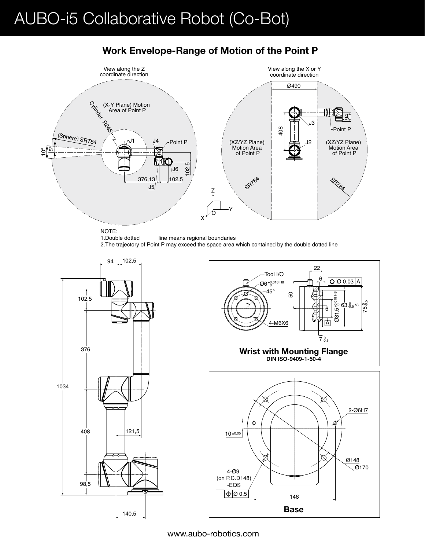## AUBO-i5 Collaborative Robot (Co-Bot)



### **Work Envelope-Range of Motion of the Point P**

1.Double dotted <sub>\_\_\_\_</sub>\_ line means regional boundaries 2.The trajectory of Point P may exceed the space area which contained by the double dotted line





www.aubo-robotics.com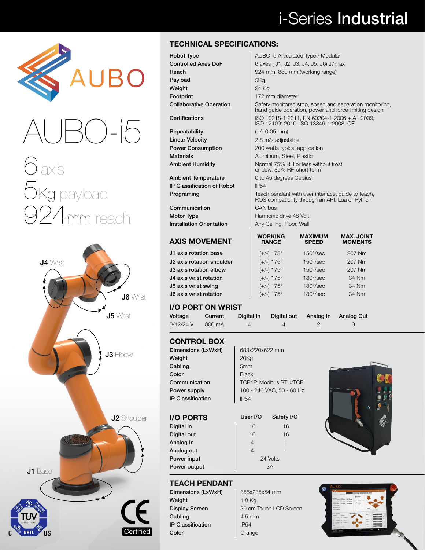# i-Series Industrial





# 6 axis 5Kg payload 924mm reach



### **TECHNICAL SPECIFICATIONS:**

Repeatability  $|$  (+/- 0.05 mm) Linear Velocity **2.8** m/s adjustable

Ambient Temperature **0** to 45 degrees Celsius IP Classification of Robot | IP54

**Communication** CAN bus Motor Type **Harmonic drive 48 Volt** Installation Orientation | Any Ceiling, Floor, Wall

### **AXIS MOVEMENT**

J1 axis rotation base J2 axis rotation shoulder J3 axis rotation elbow J4 axis wrist rotation J5 axis wrist swing J6 axis wrist rotation

### **I/O PORT ON**

| <b>CONTROL BOX</b>       |              |
|--------------------------|--------------|
| Dimensions (LxWxH)       | 683x2        |
| Weight                   | 20Kq         |
| Cabling                  | 5mm          |
| Color                    | <b>Black</b> |
| Communication            | TCP/I        |
| Power supply             | $100 -$      |
| <b>IP Classification</b> | <b>IP54</b>  |

### **I/O PORTS**

Digital in Digital out Analog In Analog out Power input Power output

| <b>DIIIIEIISIUIIS (LAVVALI)</b> | UOJAZZUAUZZ IIIIII            |
|---------------------------------|-------------------------------|
| Weight                          | 20Kg                          |
| Cabling                         | 5mm                           |
| Color                           | <b>Black</b>                  |
| Communication                   | <b>TCP/IP, Modbus RTU/TCP</b> |
| Power supply                    | 100 - 240 VAC, 50 - 60 Hz     |
| <b>IP Classification</b>        | <b>IP54</b>                   |
|                                 |                               |

| User I/O | Safety I/O     |
|----------|----------------|
| 16       | 16             |
| 16       | 16             |
| 4        |                |
| 4        |                |
|          | 24 Volts       |
|          | A <sub>3</sub> |
|          |                |



### **TEACH PENDANT**

Dimensions (LxWxH) | 355x235x54 mm Weight  $\begin{array}{|c|c|c|c|c|}\n\hline\n1.8 Kg\n\end{array}$ Cabling 2.5 mm IP Classification | IP54 Color Color Color

Display Screen 30 cm Touch LCD Screen



### AUBO-i5 Articulated Type / Modular 6 axes ( J1, J2, J3, J4, J5, J6) J7max 924 mm, 880 mm (working range) 5Kg 24 Kg

172 mm diameter Safety monitored stop, speed and separation monitoring, hand guide operation, power and force limiting design Certifications ISO 10218-1:2011, EN 60204-1:2006 + A1:2009, ISO 12100: 2010, ISO 13849-1:2008, CE **Power Consumption** 200 watts typical application Materials **Materials Aluminum, Steel, Plastic** Ambient Humidity **Ambient Humidity** Normal 75% RH or less without frost or dew, 85% RH short term **Programing** Teach pendant with user interface, guide to teach,<br>ROS compatibility through an API, Lua or Python

| <b>WORKING</b><br><b>RANGE</b> | <b>MAXIMUM</b><br><b>SPEED</b> | <b>MAX. JOINT</b><br><b>MOMENTS</b> |
|--------------------------------|--------------------------------|-------------------------------------|
| $(+/-)$ 175°                   | $150^{\circ}/\text{sec}$       | 207 Nm                              |
| $(+/-)$ 175°                   | $150^{\circ}/\text{sec}$       | 207 Nm                              |
| $(+/-)$ 175°                   | $150^{\circ}/\text{sec}$       | 207 Nm                              |
| $(+/-)$ 175°                   | $180^{\circ}/\text{sec}$       | 34 Nm                               |
| $(+/-)$ 175°                   | $180^\circ/\text{sec}$         | 34 Nm                               |
| $(+/-)$ 175°                   | $180^{\circ}/\text{sec}$       | 34 Nm                               |
|                                |                                |                                     |

| 179 I 9N PIN WHIPL |         |            |                                  |  |
|--------------------|---------|------------|----------------------------------|--|
| Voltage            | Current | Digital In | Digital out Analog In Analog Out |  |
| 0/12/24 V          | 800 mA  |            |                                  |  |

| WRIST |            |      |
|-------|------------|------|
| .nt   | Digital In | Digi |
| nА    | 4          |      |

 $683x220x622$  mm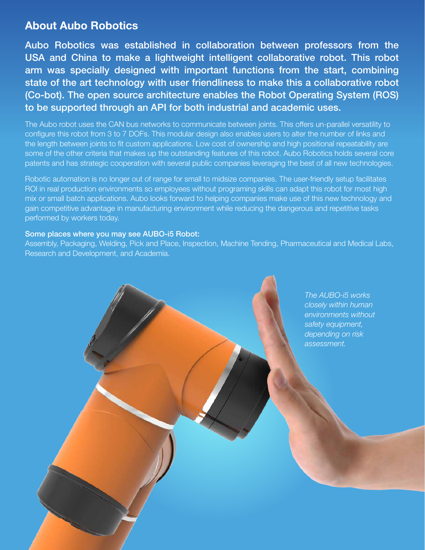### **About Aubo Robotics**

Aubo Robotics was established in collaboration between professors from the USA and China to make a lightweight intelligent collaborative robot. This robot arm was specially designed with important functions from the start, combining state of the art technology with user friendliness to make this a collaborative robot (Co-bot). The open source architecture enables the Robot Operating System (ROS) to be supported through an API for both industrial and academic uses.

The Aubo robot uses the CAN bus networks to communicate between joints. This offers un-parallel versatility to configure this robot from 3 to 7 DOFs. This modular design also enables users to alter the number of links and the length between joints to fit custom applications. Low cost of ownership and high positional repeatability are some of the other criteria that makes up the outstanding features of this robot. Aubo Robotics holds several core patents and has strategic cooperation with several public companies leveraging the best of all new technologies.

Robotic automation is no longer out of range for small to midsize companies. The user-friendly setup facilitates ROI in real production environments so employees without programing skills can adapt this robot for most high mix or small batch applications. Aubo looks forward to helping companies make use of this new technology and gain competitive advantage in manufacturing environment while reducing the dangerous and repetitive tasks performed by workers today.

### Some places where you may see AUBO-i5 Robot:

Assembly, Packaging, Welding, Pick and Place, Inspection, Machine Tending, Pharmaceutical and Medical Labs, Research and Development, and Academia.

> *The AUBO-i5 works closely within human environments without safety equipment, depending on risk assessment.*